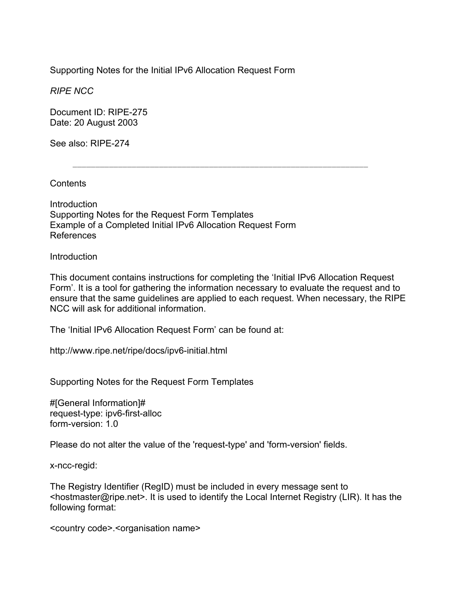Supporting Notes for the Initial IPv6 Allocation Request Form

*RIPE NCC* 

Document ID: RIPE-275 Date: 20 August 2003

See also: RIPE-274

**Contents** 

**Introduction** Supporting Notes for the Request Form Templates Example of a Completed Initial IPv6 Allocation Request Form References

**Introduction** 

This document contains instructions for completing the 'Initial IPv6 Allocation Request Form'. It is a tool for gathering the information necessary to evaluate the request and to ensure that the same guidelines are applied to each request. When necessary, the RIPE NCC will ask for additional information.

 $\mathcal{L}_\text{max}$ 

The 'Initial IPv6 Allocation Request Form' can be found at:

http://www.ripe.net/ripe/docs/ipv6-initial.html

Supporting Notes for the Request Form Templates

#[General Information]# request-type: ipv6-first-alloc form-version: 1.0

Please do not alter the value of the 'request-type' and 'form-version' fields.

x-ncc-regid:

The Registry Identifier (RegID) must be included in every message sent to <hostmaster@ripe.net>. It is used to identify the Local Internet Registry (LIR). It has the following format:

<country code>.<organisation name>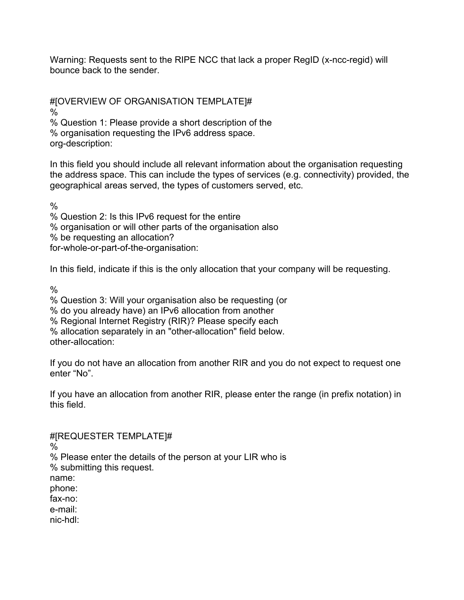Warning: Requests sent to the RIPE NCC that lack a proper RegID (x-ncc-regid) will bounce back to the sender.

#[OVERVIEW OF ORGANISATION TEMPLATE]# % % Question 1: Please provide a short description of the

% organisation requesting the IPv6 address space.

org-description:

In this field you should include all relevant information about the organisation requesting the address space. This can include the types of services (e.g. connectivity) provided, the geographical areas served, the types of customers served, etc.

 $\frac{0}{6}$ 

% Question 2: Is this IPv6 request for the entire % organisation or will other parts of the organisation also % be requesting an allocation? for-whole-or-part-of-the-organisation:

In this field, indicate if this is the only allocation that your company will be requesting.

 $\%$ 

% Question 3: Will your organisation also be requesting (or

% do you already have) an IPv6 allocation from another

% Regional Internet Registry (RIR)? Please specify each

% allocation separately in an "other-allocation" field below.

other-allocation:

If you do not have an allocation from another RIR and you do not expect to request one enter "No".

If you have an allocation from another RIR, please enter the range (in prefix notation) in this field.

#[REQUESTER TEMPLATE]#

%

% Please enter the details of the person at your LIR who is

% submitting this request.

name:

phone:

fax-no:

e-mail:

nic-hdl: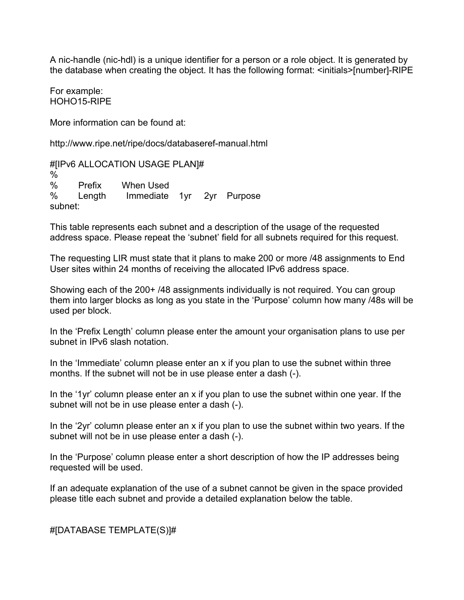A nic-handle (nic-hdl) is a unique identifier for a person or a role object. It is generated by the database when creating the object. It has the following format: <initials>[number]-RIPE

For example: HOHO15-RIPE

More information can be found at:

http://www.ripe.net/ripe/docs/databaseref-manual.html

#[IPv6 ALLOCATION USAGE PLAN]# % % Prefix When Used % Length Immediate 1yr 2yr Purpose subnet:

This table represents each subnet and a description of the usage of the requested address space. Please repeat the 'subnet' field for all subnets required for this request.

The requesting LIR must state that it plans to make 200 or more /48 assignments to End User sites within 24 months of receiving the allocated IPv6 address space.

Showing each of the 200+ /48 assignments individually is not required. You can group them into larger blocks as long as you state in the 'Purpose' column how many /48s will be used per block.

In the 'Prefix Length' column please enter the amount your organisation plans to use per subnet in IPv6 slash notation.

In the 'Immediate' column please enter an x if you plan to use the subnet within three months. If the subnet will not be in use please enter a dash (-).

In the '1yr' column please enter an x if you plan to use the subnet within one year. If the subnet will not be in use please enter a dash (-).

In the '2yr' column please enter an x if you plan to use the subnet within two years. If the subnet will not be in use please enter a dash (-).

In the 'Purpose' column please enter a short description of how the IP addresses being requested will be used.

If an adequate explanation of the use of a subnet cannot be given in the space provided please title each subnet and provide a detailed explanation below the table.

#[DATABASE TEMPLATE(S)]#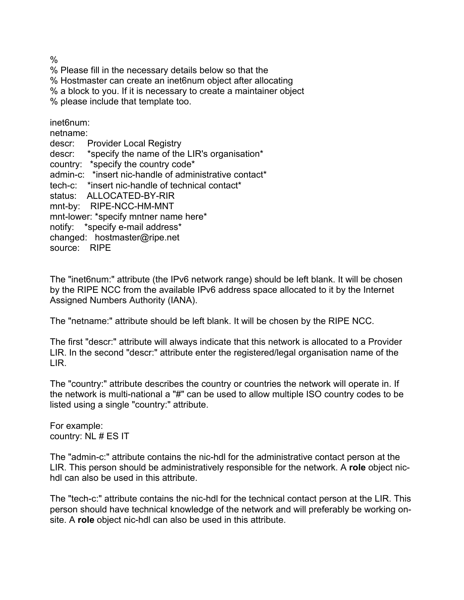%

% Please fill in the necessary details below so that the % Hostmaster can create an inet6num object after allocating % a block to you. If it is necessary to create a maintainer object % please include that template too.

inet6num:

netname: descr: Provider Local Registry descr: \*specify the name of the LIR's organisation\* country: \*specify the country code\* admin-c: \*insert nic-handle of administrative contact\* tech-c: \*insert nic-handle of technical contact\* status: ALLOCATED-BY-RIR mnt-by: RIPE-NCC-HM-MNT mnt-lower: \*specify mntner name here\* notify: \*specify e-mail address\* changed: hostmaster@ripe.net source: RIPE

The "inet6num:" attribute (the IPv6 network range) should be left blank. It will be chosen by the RIPE NCC from the available IPv6 address space allocated to it by the Internet Assigned Numbers Authority (IANA).

The "netname:" attribute should be left blank. It will be chosen by the RIPE NCC.

The first "descr:" attribute will always indicate that this network is allocated to a Provider LIR. In the second "descr:" attribute enter the registered/legal organisation name of the LIR.

The "country:" attribute describes the country or countries the network will operate in. If the network is multi-national a "#" can be used to allow multiple ISO country codes to be listed using a single "country:" attribute.

For example: country: NL # ES IT

The "admin-c:" attribute contains the nic-hdl for the administrative contact person at the LIR. This person should be administratively responsible for the network. A **role** object nichdl can also be used in this attribute.

The "tech-c:" attribute contains the nic-hdl for the technical contact person at the LIR. This person should have technical knowledge of the network and will preferably be working onsite. A **role** object nic-hdl can also be used in this attribute.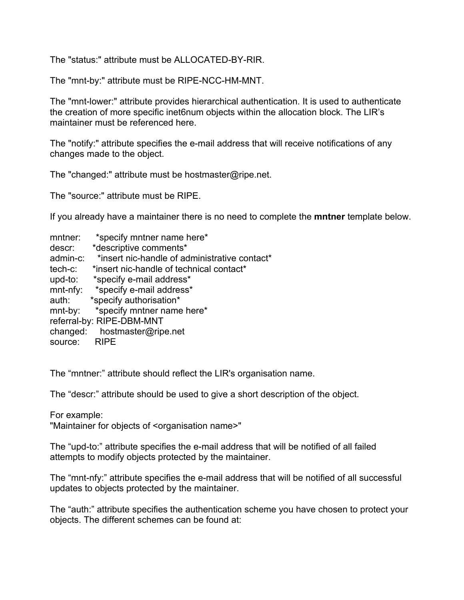The "status:" attribute must be ALLOCATED-BY-RIR.

The "mnt-by:" attribute must be RIPE-NCC-HM-MNT.

The "mnt-lower:" attribute provides hierarchical authentication. It is used to authenticate the creation of more specific inet6num objects within the allocation block. The LIR's maintainer must be referenced here.

The "notify:" attribute specifies the e-mail address that will receive notifications of any changes made to the object.

The "changed:" attribute must be hostmaster@ripe.net.

The "source:" attribute must be RIPE.

If you already have a maintainer there is no need to complete the **mntner** template below.

| mntner:                   | *specify mntner name here*                    |  |  |  |  |
|---------------------------|-----------------------------------------------|--|--|--|--|
| descr:                    | *descriptive comments*                        |  |  |  |  |
| admin-c:                  | *insert nic-handle of administrative contact* |  |  |  |  |
| tech-c:                   | *insert nic-handle of technical contact*      |  |  |  |  |
| upd-to:                   | *specify e-mail address*                      |  |  |  |  |
| $mnt-nfy$ :               | *specify e-mail address*                      |  |  |  |  |
| auth:                     | *specify authorisation*                       |  |  |  |  |
| mnt-by:                   | *specify mntner name here*                    |  |  |  |  |
| referral-by: RIPE-DBM-MNT |                                               |  |  |  |  |
| changed:                  | hostmaster@ripe.net                           |  |  |  |  |
| source:                   | <b>RIPE</b>                                   |  |  |  |  |

The "mntner:" attribute should reflect the LIR's organisation name.

The "descr:" attribute should be used to give a short description of the object.

For example:

"Maintainer for objects of <organisation name>"

The "upd-to:" attribute specifies the e-mail address that will be notified of all failed attempts to modify objects protected by the maintainer.

The "mnt-nfy:" attribute specifies the e-mail address that will be notified of all successful updates to objects protected by the maintainer.

The "auth:" attribute specifies the authentication scheme you have chosen to protect your objects. The different schemes can be found at: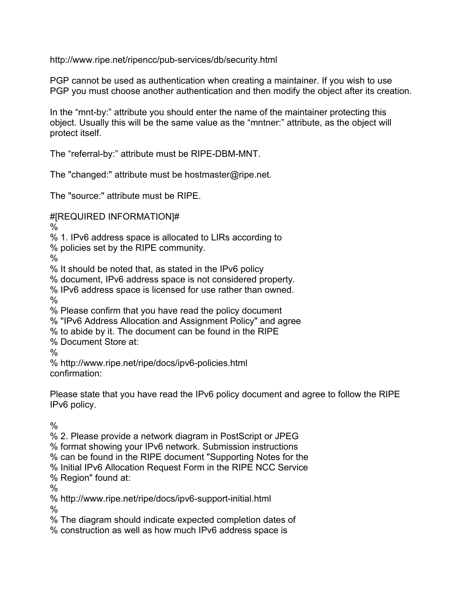http://www.ripe.net/ripencc/pub-services/db/security.html

PGP cannot be used as authentication when creating a maintainer. If you wish to use PGP you must choose another authentication and then modify the object after its creation.

In the "mnt-by:" attribute you should enter the name of the maintainer protecting this object. Usually this will be the same value as the "mntner:" attribute, as the object will protect itself.

The "referral-by:" attribute must be RIPE-DBM-MNT.

The "changed:" attribute must be hostmaster@ripe.net.

The "source:" attribute must be RIPE.

#[REQUIRED INFORMATION]#

%

% 1. IPv6 address space is allocated to LIRs according to

% policies set by the RIPE community.

 $\frac{0}{0}$ 

% It should be noted that, as stated in the IPv6 policy

% document, IPv6 address space is not considered property.

% IPv6 address space is licensed for use rather than owned.

%

% Please confirm that you have read the policy document

% "IPv6 Address Allocation and Assignment Policy" and agree

% to abide by it. The document can be found in the RIPE

% Document Store at:

%

% http://www.ripe.net/ripe/docs/ipv6-policies.html confirmation:

Please state that you have read the IPv6 policy document and agree to follow the RIPE IPv6 policy.

 $\frac{0}{0}$ 

% 2. Please provide a network diagram in PostScript or JPEG

% format showing your IPv6 network. Submission instructions

% can be found in the RIPE document "Supporting Notes for the

% Initial IPv6 Allocation Request Form in the RIPE NCC Service

% Region" found at:

%

% http://www.ripe.net/ripe/docs/ipv6-support-initial.html

%

% The diagram should indicate expected completion dates of

% construction as well as how much IPv6 address space is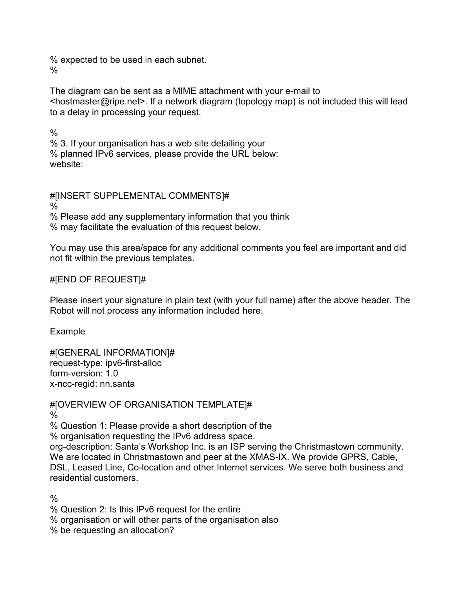% expected to be used in each subnet. %

The diagram can be sent as a MIME attachment with your e-mail to <hostmaster@ripe.net>. If a network diagram (topology map) is not included this will lead to a delay in processing your request.

%

% 3. If your organisation has a web site detailing your % planned IPv6 services, please provide the URL below: website:

#[INSERT SUPPLEMENTAL COMMENTS]#

 $\frac{0}{6}$ 

% Please add any supplementary information that you think % may facilitate the evaluation of this request below.

You may use this area/space for any additional comments you feel are important and did not fit within the previous templates.

## #[END OF REQUEST]#

Please insert your signature in plain text (with your full name) after the above header. The Robot will not process any information included here.

Example

#[GENERAL INFORMATION]# request-type: ipv6-first-alloc form-version: 1.0 x-ncc-regid: nn.santa

#[OVERVIEW OF ORGANISATION TEMPLATE]#

%

% Question 1: Please provide a short description of the

% organisation requesting the IPv6 address space.

org-description: Santa's Workshop Inc. is an ISP serving the Christmastown community. We are located in Christmastown and peer at the XMAS-IX. We provide GPRS, Cable, DSL, Leased Line, Co-location and other Internet services. We serve both business and residential customers.

 $\frac{0}{0}$ 

% Question 2: Is this IPv6 request for the entire

% organisation or will other parts of the organisation also

% be requesting an allocation?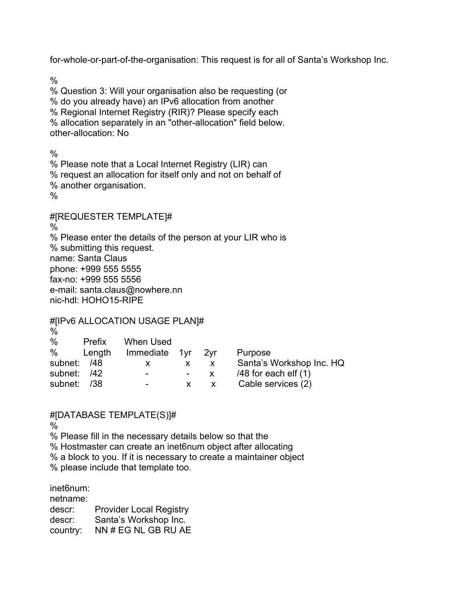for-whole-or-part-of-the-organisation: This request is for all of Santa's Workshop Inc.

 $\frac{0}{0}$ 

% Question 3: Will your organisation also be requesting (or % do you already have) an IPv6 allocation from another % Regional Internet Registry (RIR)? Please specify each % allocation separately in an "other-allocation" field below. other-allocation: No

 $\frac{0}{0}$ % Please note that a Local Internet Registry (LIR) can % request an allocation for itself only and not on behalf of % another organisation. %

#[REQUESTER TEMPLATE]#

%

% Please enter the details of the person at your LIR who is % submitting this request. name: Santa Claus phone: +999 555 5555 fax-no: +999 555 5556 e-mail: santa.claus@nowhere.nn nic-hdl: HOHO15-RIPE

#[IPv6 ALLOCATION USAGE PLAN]#

| $\frac{0}{0}$ |        |                          |     |                          |
|---------------|--------|--------------------------|-----|--------------------------|
| $\%$          | Prefix | When Used                |     |                          |
| %             | Length | Immediate 1yr            | 2vr | Purpose                  |
| subnet: /48   |        | x                        | X.  | Santa's Workshop Inc. HQ |
| subnet:       | /42    | $\blacksquare$           | X.  | $/48$ for each elf $(1)$ |
| subnet:       | /38    | $\overline{\phantom{a}}$ | X   | Cable services (2)       |

## #[DATABASE TEMPLATE(S)]#

%

% Please fill in the necessary details below so that the

% Hostmaster can create an inet6num object after allocating

% a block to you. If it is necessary to create a maintainer object

% please include that template too.

inet6num:

netname:

descr: Provider Local Registry descr: Santa's Workshop Inc.

country: NN # EG NL GB RU AE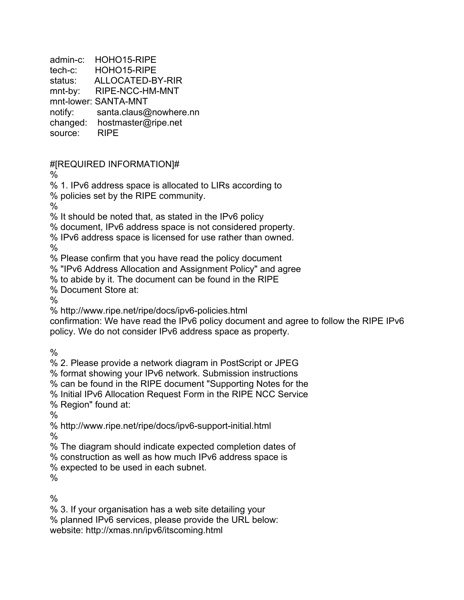admin-c: HOHO15-RIPE tech-c: HOHO15-RIPE status: ALLOCATED-BY-RIR mnt-by: RIPE-NCC-HM-MNT mnt-lower: SANTA-MNT notify: santa.claus@nowhere.nn changed: hostmaster@ripe.net

source: RIPE

#[REQUIRED INFORMATION]#

%

% 1. IPv6 address space is allocated to LIRs according to

% policies set by the RIPE community.

 $\frac{0}{6}$ 

% It should be noted that, as stated in the IPv6 policy

% document, IPv6 address space is not considered property.

% IPv6 address space is licensed for use rather than owned.

 $\frac{0}{0}$ 

% Please confirm that you have read the policy document

% "IPv6 Address Allocation and Assignment Policy" and agree

% to abide by it. The document can be found in the RIPE

% Document Store at:

 $\frac{0}{0}$ 

% http://www.ripe.net/ripe/docs/ipv6-policies.html

confirmation: We have read the IPv6 policy document and agree to follow the RIPE IPv6 policy. We do not consider IPv6 address space as property.

%

% 2. Please provide a network diagram in PostScript or JPEG

% format showing your IPv6 network. Submission instructions

% can be found in the RIPE document "Supporting Notes for the

% Initial IPv6 Allocation Request Form in the RIPE NCC Service

% Region" found at:

%

% http://www.ripe.net/ripe/docs/ipv6-support-initial.html

%

% The diagram should indicate expected completion dates of

% construction as well as how much IPv6 address space is

% expected to be used in each subnet.

%

 $\frac{0}{0}$ 

% 3. If your organisation has a web site detailing your

% planned IPv6 services, please provide the URL below:

website: http://xmas.nn/ipv6/itscoming.html